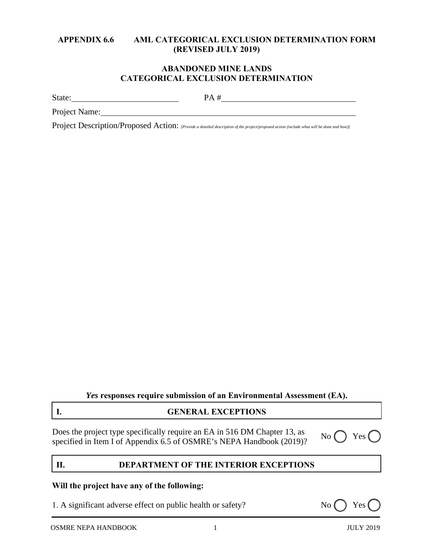## **APPENDIX 6.6 AML CATEGORICAL EXCLUSION DETERMINATION FORM (REVISED JULY 2019)**

## **ABANDONED MINE LANDS CATEGORICAL EXCLUSION DETERMINATION**

State: PA #

Project Name:

Project Description/Proposed Action: *[Provide a detailed description of the project/proposed action (include what will be done and how)]* 

*Yes* **responses require submission of an Environmental Assessment (EA).**

# **I. GENERAL EXCEPTIONS**

Does the project type specifically require an EA in 516 DM Chapter 13, as boes the project type specified in Item I of Appendix 6.5 of OSMRE's NEPA Handbook (2019)? No  $\bigcirc$  Yes (specified in Item I of Appendix 6.5 of OSMRE's NEPA Handbook (2019)?

# **II. DEPARTMENT OF THE INTERIOR EXCEPTIONS**

## **Will the project have any of the following:**

1. A significant adverse effect on public health or safety? No () Yes

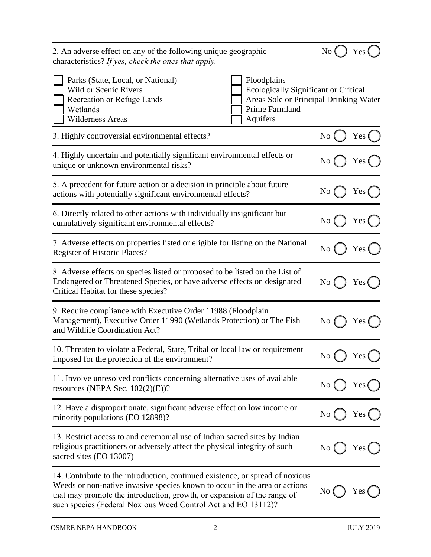| 2. An adverse effect on any of the following unique geographic<br>characteristics? If yes, check the ones that apply.                                                                                                                                                 | No (            | Yes ( |
|-----------------------------------------------------------------------------------------------------------------------------------------------------------------------------------------------------------------------------------------------------------------------|-----------------|-------|
| Floodplains<br>Parks (State, Local, or National)<br>Ecologically Significant or Critical<br><b>Wild or Scenic Rivers</b><br>Areas Sole or Principal Drinking Water<br>Recreation or Refuge Lands<br>Prime Farmland<br>Wetlands<br><b>Wilderness Areas</b><br>Aquifers |                 |       |
| 3. Highly controversial environmental effects?                                                                                                                                                                                                                        | N <sub>0</sub>  | Yes   |
| 4. Highly uncertain and potentially significant environmental effects or<br>unique or unknown environmental risks?                                                                                                                                                    | No              | Yes   |
| 5. A precedent for future action or a decision in principle about future<br>actions with potentially significant environmental effects?                                                                                                                               | No              | Yes   |
| 6. Directly related to other actions with individually insignificant but<br>cumulatively significant environmental effects?                                                                                                                                           | No              | Yes   |
| 7. Adverse effects on properties listed or eligible for listing on the National<br><b>Register of Historic Places?</b>                                                                                                                                                | N <sub>o</sub>  | Yes ( |
| 8. Adverse effects on species listed or proposed to be listed on the List of<br>Endangered or Threatened Species, or have adverse effects on designated<br>Critical Habitat for these species?                                                                        | No              | Yes ( |
| 9. Require compliance with Executive Order 11988 (Floodplain<br>Management), Executive Order 11990 (Wetlands Protection) or The Fish<br>and Wildlife Coordination Act?                                                                                                | No              | Yes   |
| 10. Threaten to violate a Federal, State, Tribal or local law or requirement<br>imposed for the protection of the environment?                                                                                                                                        | No              | Yes ( |
| 11. Involve unresolved conflicts concerning alternative uses of available<br>resources (NEPA Sec. $102(2)(E)$ )?                                                                                                                                                      | No              | Yes   |
| 12. Have a disproportionate, significant adverse effect on low income or<br>minority populations (EO 12898)?                                                                                                                                                          | No              | Yes ( |
| 13. Restrict access to and ceremonial use of Indian sacred sites by Indian<br>religious practitioners or adversely affect the physical integrity of such<br>sacred sites (EO 13007)                                                                                   | No <sub>0</sub> | Yes ( |

14. Contribute to the introduction, continued existence, or spread of noxious Weeds or non-native invasive species known to occur in the area or actions that may promote the introduction, growth, or expansion of the range of such species (Federal Noxious Weed Control Act and EO 13112)?

 $Yes$   $\bigcap$ 

 $\overline{N}$